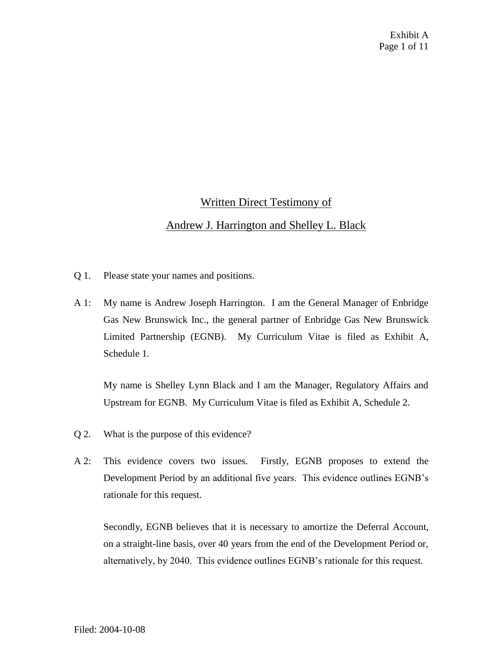## Written Direct Testimony of

## Andrew J. Harrington and Shelley L. Black

- Q 1. Please state your names and positions.
- A 1: My name is Andrew Joseph Harrington. I am the General Manager of Enbridge Gas New Brunswick Inc., the general partner of Enbridge Gas New Brunswick Limited Partnership (EGNB). My Curriculum Vitae is filed as Exhibit A, Schedule 1.

My name is Shelley Lynn Black and I am the Manager, Regulatory Affairs and Upstream for EGNB. My Curriculum Vitae is filed as Exhibit A, Schedule 2.

- Q 2. What is the purpose of this evidence?
- A 2: This evidence covers two issues. Firstly, EGNB proposes to extend the Development Period by an additional five years. This evidence outlines EGNB's rationale for this request.

Secondly, EGNB believes that it is necessary to amortize the Deferral Account, on a straight-line basis, over 40 years from the end of the Development Period or, alternatively, by 2040. This evidence outlines EGNB's rationale for this request.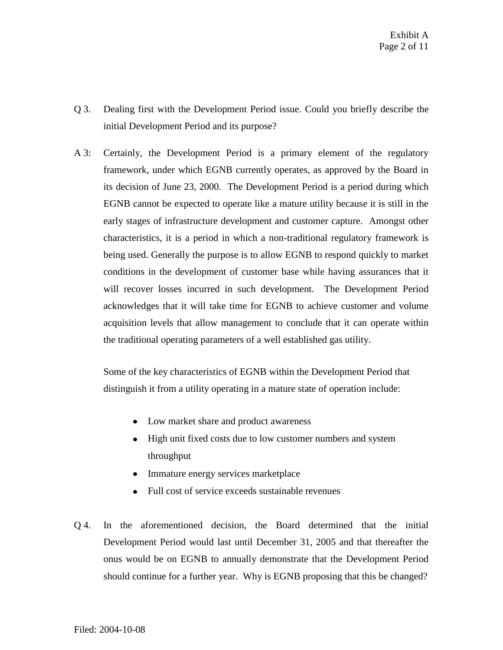- Q 3. Dealing first with the Development Period issue. Could you briefly describe the initial Development Period and its purpose?
- A 3: Certainly, the Development Period is a primary element of the regulatory framework, under which EGNB currently operates, as approved by the Board in its decision of June 23, 2000. The Development Period is a period during which EGNB cannot be expected to operate like a mature utility because it is still in the early stages of infrastructure development and customer capture. Amongst other characteristics, it is a period in which a non-traditional regulatory framework is being used. Generally the purpose is to allow EGNB to respond quickly to market conditions in the development of customer base while having assurances that it will recover losses incurred in such development. The Development Period acknowledges that it will take time for EGNB to achieve customer and volume acquisition levels that allow management to conclude that it can operate within the traditional operating parameters of a well established gas utility.

Some of the key characteristics of EGNB within the Development Period that distinguish it from a utility operating in a mature state of operation include:

- Low market share and product awareness
- High unit fixed costs due to low customer numbers and system throughput
- Immature energy services marketplace
- Full cost of service exceeds sustainable revenues
- Q 4. In the aforementioned decision, the Board determined that the initial Development Period would last until December 31, 2005 and that thereafter the onus would be on EGNB to annually demonstrate that the Development Period should continue for a further year. Why is EGNB proposing that this be changed?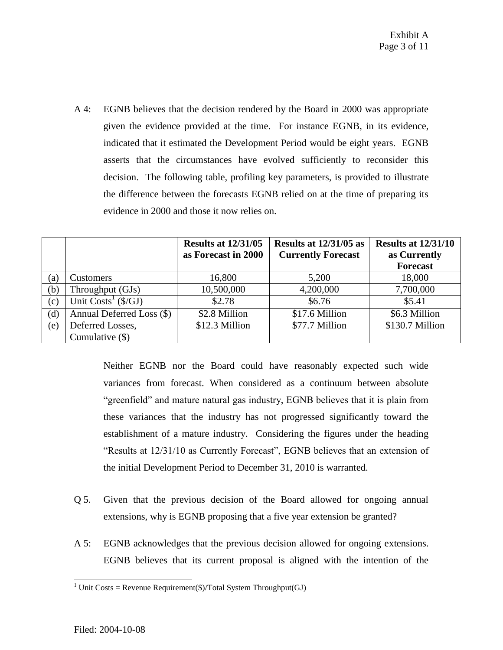A 4: EGNB believes that the decision rendered by the Board in 2000 was appropriate given the evidence provided at the time. For instance EGNB, in its evidence, indicated that it estimated the Development Period would be eight years. EGNB asserts that the circumstances have evolved sufficiently to reconsider this decision. The following table, profiling key parameters, is provided to illustrate the difference between the forecasts EGNB relied on at the time of preparing its evidence in 2000 and those it now relies on.

|     |                           | <b>Results at 12/31/05</b><br>as Forecast in 2000 | Results at $12/31/05$ as<br><b>Currently Forecast</b> | <b>Results at 12/31/10</b><br>as Currently<br><b>Forecast</b> |
|-----|---------------------------|---------------------------------------------------|-------------------------------------------------------|---------------------------------------------------------------|
| (a) | <b>Customers</b>          | 16,800                                            | 5,200                                                 | 18,000                                                        |
| (b) | Throughput (GJs)          | 10,500,000                                        | 4,200,000                                             | 7,700,000                                                     |
| (c) | Unit $Costs^1$ (\$/GJ)    | \$2.78                                            | \$6.76                                                | \$5.41                                                        |
| (d) | Annual Deferred Loss (\$) | \$2.8 Million                                     | \$17.6 Million                                        | \$6.3 Million                                                 |
| (e) | Deferred Losses,          | \$12.3 Million                                    | \$77.7 Million                                        | \$130.7 Million                                               |
|     | Cumulative $(\$)$         |                                                   |                                                       |                                                               |

Neither EGNB nor the Board could have reasonably expected such wide variances from forecast. When considered as a continuum between absolute "greenfield" and mature natural gas industry, EGNB believes that it is plain from these variances that the industry has not progressed significantly toward the establishment of a mature industry. Considering the figures under the heading "Results at 12/31/10 as Currently Forecast", EGNB believes that an extension of the initial Development Period to December 31, 2010 is warranted.

- Q 5. Given that the previous decision of the Board allowed for ongoing annual extensions, why is EGNB proposing that a five year extension be granted?
- A 5: EGNB acknowledges that the previous decision allowed for ongoing extensions. EGNB believes that its current proposal is aligned with the intention of the

 $\overline{a}$ <sup>1</sup> Unit Costs = Revenue Requirement(\$)/Total System Throughput(GJ)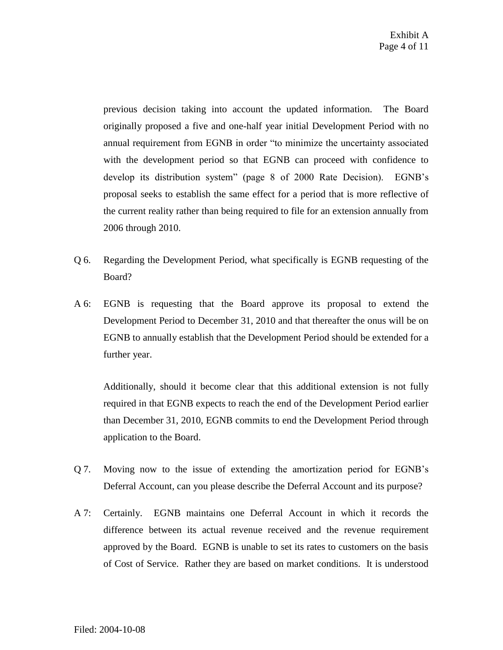previous decision taking into account the updated information. The Board originally proposed a five and one-half year initial Development Period with no annual requirement from EGNB in order "to minimize the uncertainty associated with the development period so that EGNB can proceed with confidence to develop its distribution system" (page 8 of 2000 Rate Decision). EGNB's proposal seeks to establish the same effect for a period that is more reflective of the current reality rather than being required to file for an extension annually from 2006 through 2010.

- Q 6. Regarding the Development Period, what specifically is EGNB requesting of the Board?
- A 6: EGNB is requesting that the Board approve its proposal to extend the Development Period to December 31, 2010 and that thereafter the onus will be on EGNB to annually establish that the Development Period should be extended for a further year.

Additionally, should it become clear that this additional extension is not fully required in that EGNB expects to reach the end of the Development Period earlier than December 31, 2010, EGNB commits to end the Development Period through application to the Board.

- Q 7. Moving now to the issue of extending the amortization period for EGNB's Deferral Account, can you please describe the Deferral Account and its purpose?
- A 7: Certainly. EGNB maintains one Deferral Account in which it records the difference between its actual revenue received and the revenue requirement approved by the Board. EGNB is unable to set its rates to customers on the basis of Cost of Service. Rather they are based on market conditions. It is understood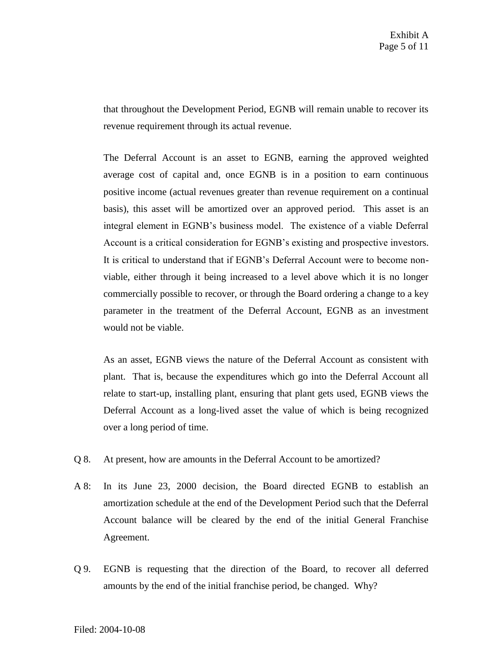that throughout the Development Period, EGNB will remain unable to recover its revenue requirement through its actual revenue.

The Deferral Account is an asset to EGNB, earning the approved weighted average cost of capital and, once EGNB is in a position to earn continuous positive income (actual revenues greater than revenue requirement on a continual basis), this asset will be amortized over an approved period. This asset is an integral element in EGNB's business model. The existence of a viable Deferral Account is a critical consideration for EGNB's existing and prospective investors. It is critical to understand that if EGNB's Deferral Account were to become nonviable, either through it being increased to a level above which it is no longer commercially possible to recover, or through the Board ordering a change to a key parameter in the treatment of the Deferral Account, EGNB as an investment would not be viable.

As an asset, EGNB views the nature of the Deferral Account as consistent with plant. That is, because the expenditures which go into the Deferral Account all relate to start-up, installing plant, ensuring that plant gets used, EGNB views the Deferral Account as a long-lived asset the value of which is being recognized over a long period of time.

- Q 8. At present, how are amounts in the Deferral Account to be amortized?
- A 8: In its June 23, 2000 decision, the Board directed EGNB to establish an amortization schedule at the end of the Development Period such that the Deferral Account balance will be cleared by the end of the initial General Franchise Agreement.
- Q 9. EGNB is requesting that the direction of the Board, to recover all deferred amounts by the end of the initial franchise period, be changed. Why?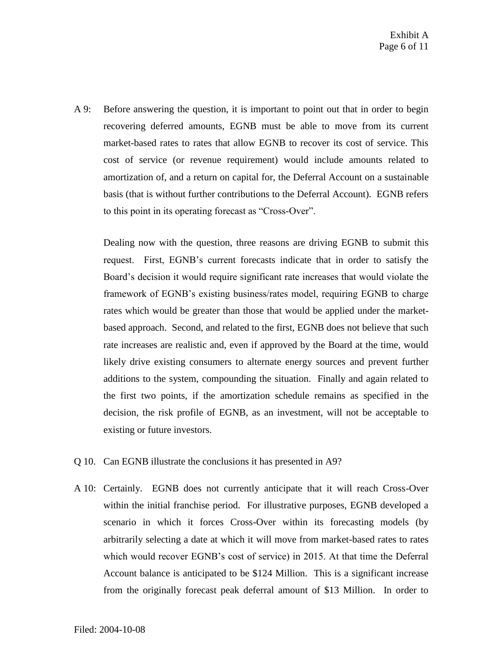A 9: Before answering the question, it is important to point out that in order to begin recovering deferred amounts, EGNB must be able to move from its current market-based rates to rates that allow EGNB to recover its cost of service. This cost of service (or revenue requirement) would include amounts related to amortization of, and a return on capital for, the Deferral Account on a sustainable basis (that is without further contributions to the Deferral Account). EGNB refers to this point in its operating forecast as "Cross-Over".

Dealing now with the question, three reasons are driving EGNB to submit this request. First, EGNB's current forecasts indicate that in order to satisfy the Board's decision it would require significant rate increases that would violate the framework of EGNB's existing business/rates model, requiring EGNB to charge rates which would be greater than those that would be applied under the marketbased approach. Second, and related to the first, EGNB does not believe that such rate increases are realistic and, even if approved by the Board at the time, would likely drive existing consumers to alternate energy sources and prevent further additions to the system, compounding the situation. Finally and again related to the first two points, if the amortization schedule remains as specified in the decision, the risk profile of EGNB, as an investment, will not be acceptable to existing or future investors.

- Q 10. Can EGNB illustrate the conclusions it has presented in A9?
- A 10: Certainly. EGNB does not currently anticipate that it will reach Cross-Over within the initial franchise period. For illustrative purposes, EGNB developed a scenario in which it forces Cross-Over within its forecasting models (by arbitrarily selecting a date at which it will move from market-based rates to rates which would recover EGNB's cost of service) in 2015. At that time the Deferral Account balance is anticipated to be \$124 Million. This is a significant increase from the originally forecast peak deferral amount of \$13 Million. In order to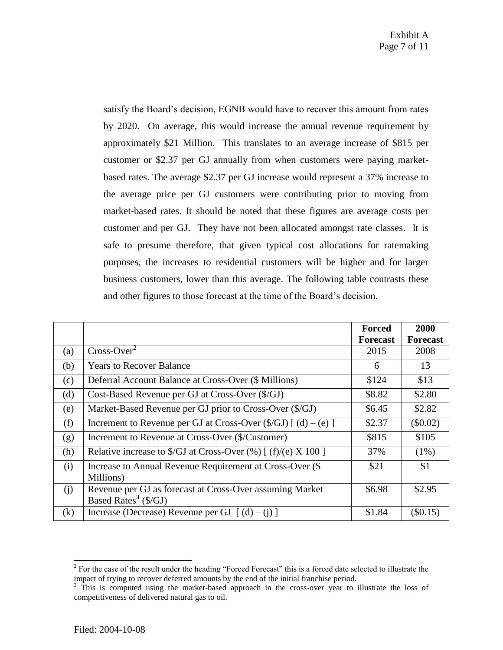satisfy the Board's decision, EGNB would have to recover this amount from rates by 2020. On average, this would increase the annual revenue requirement by approximately \$21 Million. This translates to an average increase of \$815 per customer or \$2.37 per GJ annually from when customers were paying marketbased rates. The average \$2.37 per GJ increase would represent a 37% increase to the average price per GJ customers were contributing prior to moving from market-based rates. It should be noted that these figures are average costs per customer and per GJ. They have not been allocated amongst rate classes. It is safe to presume therefore, that given typical cost allocations for ratemaking purposes, the increases to residential customers will be higher and for larger business customers, lower than this average. The following table contrasts these and other figures to those forecast at the time of the Board's decision.

|          |                                                                          | <b>Forced</b>   | 2000            |
|----------|--------------------------------------------------------------------------|-----------------|-----------------|
|          |                                                                          | <b>Forecast</b> | <b>Forecast</b> |
| (a)      | $Cross-Over2$                                                            | 2015            | 2008            |
| (b)      | <b>Years to Recover Balance</b>                                          | 6               | 13              |
| (c)      | Deferral Account Balance at Cross-Over (\$ Millions)                     | \$124           | \$13            |
| (d)      | Cost-Based Revenue per GJ at Cross-Over (\$/GJ)                          | \$8.82          | \$2.80          |
| (e)      | Market-Based Revenue per GJ prior to Cross-Over (\$/GJ)                  | \$6.45          | \$2.82          |
| (f)      | Increment to Revenue per GJ at Cross-Over $(\frac{5}{GJ})$ [ (d) – (e) ] | \$2.37          | (\$0.02)        |
| (g)      | Increment to Revenue at Cross-Over (\$/Customer)                         | \$815           | \$105           |
| (h)      | Relative increase to \$/GJ at Cross-Over $(\%)$ [ (f)/(e) X 100 ]        | 37%             | $(1\%)$         |
| (i)      | Increase to Annual Revenue Requirement at Cross-Over (\$                 | \$21            | \$1             |
|          | Millions)                                                                |                 |                 |
| (i)      | Revenue per GJ as forecast at Cross-Over assuming Market                 | \$6.98          | \$2.95          |
|          | Based Rates <sup>3</sup> ( $\sqrt{s}$ /GJ)                               |                 |                 |
| $\rm(k)$ | Increase (Decrease) Revenue per GJ $\lceil$ (d) – (j) $\rceil$           | \$1.84          | (\$0.15)        |

 $\overline{a}$ 

 $2^{2}$  For the case of the result under the heading "Forced Forecast" this is a forced date selected to illustrate the impact of trying to recover deferred amounts by the end of the initial franchise period.

<sup>&</sup>lt;sup>3</sup> This is computed using the market-based approach in the cross-over year to illustrate the loss of competitiveness of delivered natural gas to oil.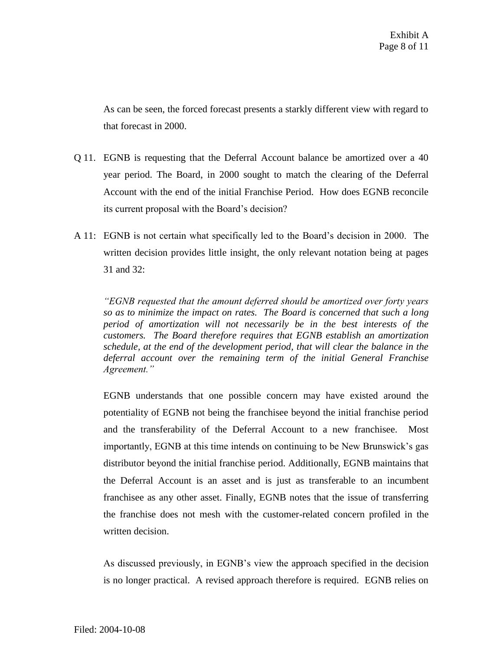As can be seen, the forced forecast presents a starkly different view with regard to that forecast in 2000.

- Q 11. EGNB is requesting that the Deferral Account balance be amortized over a 40 year period. The Board, in 2000 sought to match the clearing of the Deferral Account with the end of the initial Franchise Period. How does EGNB reconcile its current proposal with the Board's decision?
- A 11: EGNB is not certain what specifically led to the Board's decision in 2000. The written decision provides little insight, the only relevant notation being at pages 31 and 32:

*"EGNB requested that the amount deferred should be amortized over forty years so as to minimize the impact on rates. The Board is concerned that such a long period of amortization will not necessarily be in the best interests of the customers. The Board therefore requires that EGNB establish an amortization schedule, at the end of the development period, that will clear the balance in the deferral account over the remaining term of the initial General Franchise Agreement."*

EGNB understands that one possible concern may have existed around the potentiality of EGNB not being the franchisee beyond the initial franchise period and the transferability of the Deferral Account to a new franchisee. Most importantly, EGNB at this time intends on continuing to be New Brunswick's gas distributor beyond the initial franchise period. Additionally, EGNB maintains that the Deferral Account is an asset and is just as transferable to an incumbent franchisee as any other asset. Finally, EGNB notes that the issue of transferring the franchise does not mesh with the customer-related concern profiled in the written decision.

As discussed previously, in EGNB's view the approach specified in the decision is no longer practical. A revised approach therefore is required. EGNB relies on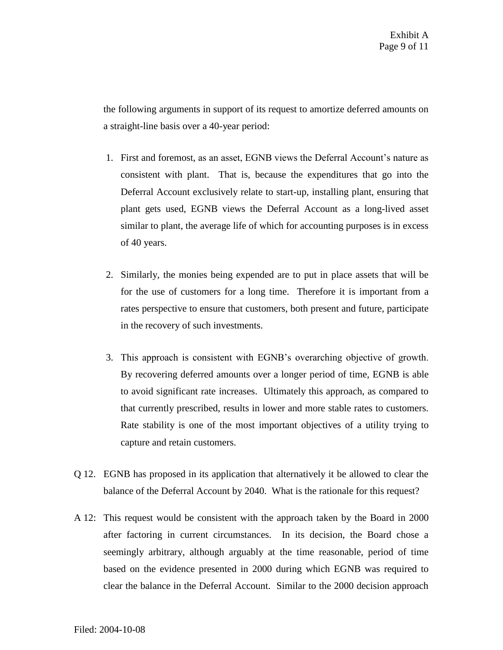the following arguments in support of its request to amortize deferred amounts on a straight-line basis over a 40-year period:

- 1. First and foremost, as an asset, EGNB views the Deferral Account's nature as consistent with plant. That is, because the expenditures that go into the Deferral Account exclusively relate to start-up, installing plant, ensuring that plant gets used, EGNB views the Deferral Account as a long-lived asset similar to plant, the average life of which for accounting purposes is in excess of 40 years.
- 2. Similarly, the monies being expended are to put in place assets that will be for the use of customers for a long time. Therefore it is important from a rates perspective to ensure that customers, both present and future, participate in the recovery of such investments.
- 3. This approach is consistent with EGNB's overarching objective of growth. By recovering deferred amounts over a longer period of time, EGNB is able to avoid significant rate increases. Ultimately this approach, as compared to that currently prescribed, results in lower and more stable rates to customers. Rate stability is one of the most important objectives of a utility trying to capture and retain customers.
- Q 12. EGNB has proposed in its application that alternatively it be allowed to clear the balance of the Deferral Account by 2040. What is the rationale for this request?
- A 12: This request would be consistent with the approach taken by the Board in 2000 after factoring in current circumstances. In its decision, the Board chose a seemingly arbitrary, although arguably at the time reasonable, period of time based on the evidence presented in 2000 during which EGNB was required to clear the balance in the Deferral Account. Similar to the 2000 decision approach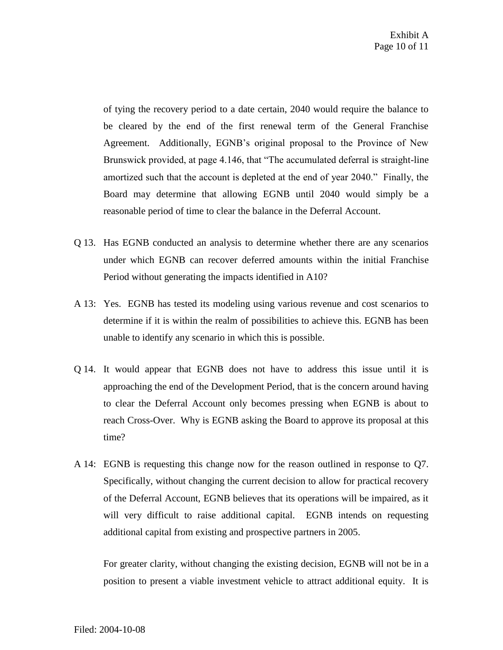of tying the recovery period to a date certain, 2040 would require the balance to be cleared by the end of the first renewal term of the General Franchise Agreement. Additionally, EGNB's original proposal to the Province of New Brunswick provided, at page 4.146, that "The accumulated deferral is straight-line amortized such that the account is depleted at the end of year 2040." Finally, the Board may determine that allowing EGNB until 2040 would simply be a reasonable period of time to clear the balance in the Deferral Account.

- Q 13. Has EGNB conducted an analysis to determine whether there are any scenarios under which EGNB can recover deferred amounts within the initial Franchise Period without generating the impacts identified in A10?
- A 13: Yes. EGNB has tested its modeling using various revenue and cost scenarios to determine if it is within the realm of possibilities to achieve this. EGNB has been unable to identify any scenario in which this is possible.
- Q 14. It would appear that EGNB does not have to address this issue until it is approaching the end of the Development Period, that is the concern around having to clear the Deferral Account only becomes pressing when EGNB is about to reach Cross-Over. Why is EGNB asking the Board to approve its proposal at this time?
- A 14: EGNB is requesting this change now for the reason outlined in response to Q7. Specifically, without changing the current decision to allow for practical recovery of the Deferral Account, EGNB believes that its operations will be impaired, as it will very difficult to raise additional capital. EGNB intends on requesting additional capital from existing and prospective partners in 2005.

For greater clarity, without changing the existing decision, EGNB will not be in a position to present a viable investment vehicle to attract additional equity. It is